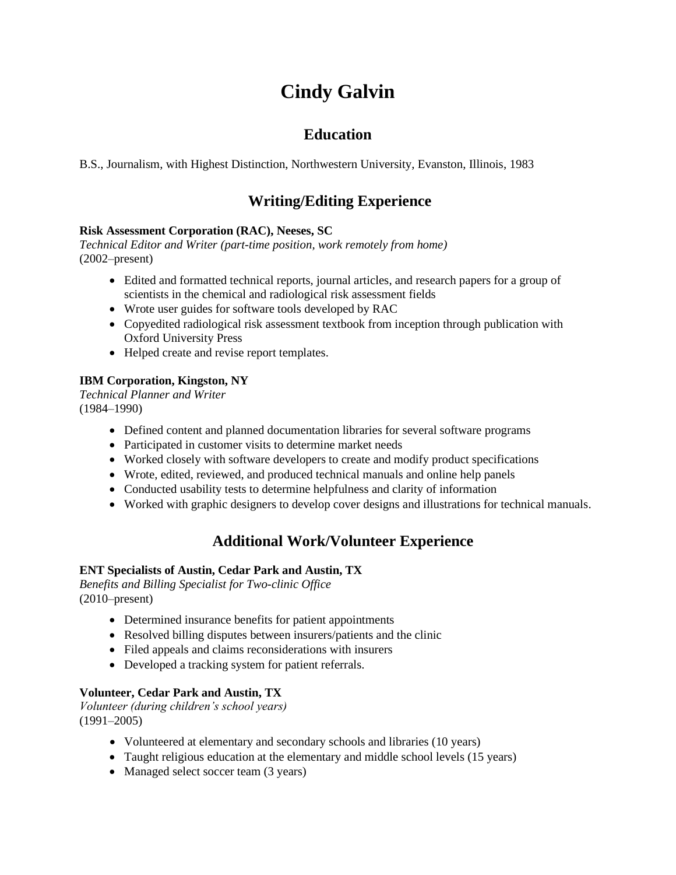# **Cindy Galvin**

## **Education**

B.S., Journalism, with Highest Distinction, Northwestern University, Evanston, Illinois, 1983

# **Writing/Editing Experience**

#### **Risk Assessment Corporation (RAC), Neeses, SC**

*Technical Editor and Writer (part-time position, work remotely from home)* (2002–present)

- Edited and formatted technical reports, journal articles, and research papers for a group of scientists in the chemical and radiological risk assessment fields
- Wrote user guides for software tools developed by RAC
- Copyedited radiological risk assessment textbook from inception through publication with Oxford University Press
- Helped create and revise report templates.

## **IBM Corporation, Kingston, NY**

*Technical Planner and Writer* (1984–1990)

- Defined content and planned documentation libraries for several software programs
- Participated in customer visits to determine market needs
- Worked closely with software developers to create and modify product specifications
- Wrote, edited, reviewed, and produced technical manuals and online help panels
- Conducted usability tests to determine helpfulness and clarity of information
- Worked with graphic designers to develop cover designs and illustrations for technical manuals.

## **Additional Work/Volunteer Experience**

#### **ENT Specialists of Austin, Cedar Park and Austin, TX**

*Benefits and Billing Specialist for Two-clinic Office* (2010–present)

- Determined insurance benefits for patient appointments
- Resolved billing disputes between insurers/patients and the clinic
- Filed appeals and claims reconsiderations with insurers
- Developed a tracking system for patient referrals.

## **Volunteer, Cedar Park and Austin, TX**

*Volunteer (during children's school years)* (1991–2005)

- Volunteered at elementary and secondary schools and libraries (10 years)
- Taught religious education at the elementary and middle school levels (15 years)
- Managed select soccer team (3 years)